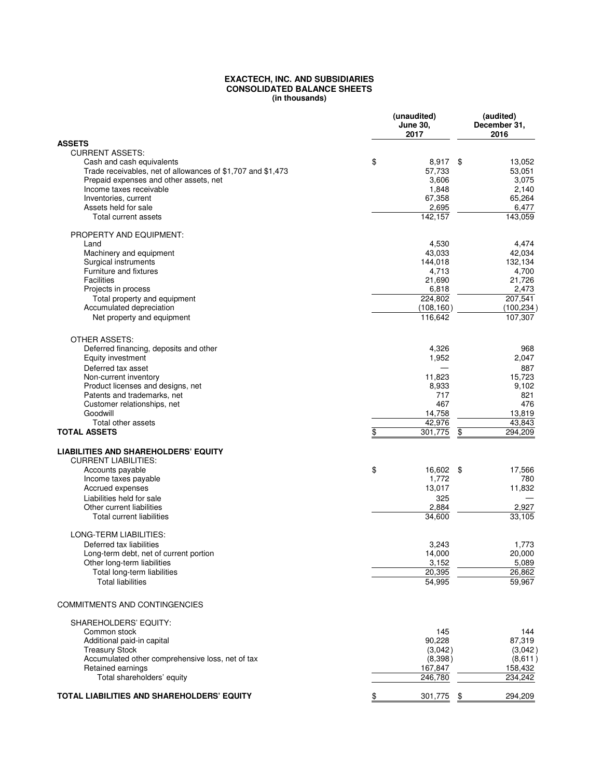## **EXACTECH, INC. AND SUBSIDIARIES CONSOLIDATED BALANCE SHEETS (in thousands)**

|                                                                                          | (unaudited)<br><b>June 30,</b><br>2017 | (audited)<br>December 31,<br>2016 |
|------------------------------------------------------------------------------------------|----------------------------------------|-----------------------------------|
| <b>ASSETS</b>                                                                            |                                        |                                   |
| <b>CURRENT ASSETS:</b>                                                                   |                                        |                                   |
| Cash and cash equivalents<br>Trade receivables, net of allowances of \$1,707 and \$1,473 | \$<br>8,917 \$<br>57,733               | 13,052<br>53,051                  |
| Prepaid expenses and other assets, net                                                   | 3,606                                  | 3,075                             |
| Income taxes receivable                                                                  | 1,848                                  | 2,140                             |
| Inventories, current                                                                     | 67,358                                 | 65,264                            |
| Assets held for sale                                                                     | 2,695                                  | 6,477                             |
| Total current assets                                                                     | 142.157                                | 143,059                           |
| <b>PROPERTY AND EQUIPMENT:</b>                                                           |                                        |                                   |
| Land                                                                                     | 4,530                                  | 4,474                             |
| Machinery and equipment                                                                  | 43,033                                 | 42,034                            |
| Surgical instruments<br>Furniture and fixtures                                           | 144,018<br>4,713                       | 132,134<br>4,700                  |
| <b>Facilities</b>                                                                        | 21,690                                 | 21,726                            |
| Projects in process                                                                      | 6,818                                  | 2,473                             |
| Total property and equipment                                                             | 224,802                                | 207,541                           |
| Accumulated depreciation                                                                 | (108, 160)                             | (100, 234)                        |
| Net property and equipment                                                               | 116,642                                | 107,307                           |
| <b>OTHER ASSETS:</b>                                                                     |                                        |                                   |
| Deferred financing, deposits and other                                                   | 4,326                                  | 968                               |
| Equity investment                                                                        | 1,952                                  | 2,047                             |
| Deferred tax asset                                                                       |                                        | 887                               |
| Non-current inventory                                                                    | 11,823                                 | 15,723                            |
| Product licenses and designs, net                                                        | 8,933                                  | 9,102                             |
| Patents and trademarks, net                                                              | 717                                    | 821                               |
| Customer relationships, net<br>Goodwill                                                  | 467                                    | 476                               |
| Total other assets                                                                       | 14,758<br>42,976                       | 13,819<br>43,843                  |
| <b>TOTAL ASSETS</b>                                                                      | \$<br>301,775                          | 294,209<br>\$                     |
| <b>LIABILITIES AND SHAREHOLDERS' EQUITY</b>                                              |                                        |                                   |
| <b>CURRENT LIABILITIES:</b>                                                              |                                        |                                   |
| Accounts payable                                                                         | \$<br>16,602 \$                        | 17,566                            |
| Income taxes payable                                                                     | 1,772                                  | 780                               |
| Accrued expenses                                                                         | 13,017                                 | 11,832                            |
| Liabilities held for sale                                                                | 325                                    |                                   |
| Other current liabilities                                                                | 2,884                                  | 2,927                             |
| <b>Total current liabilities</b>                                                         | 34.600                                 | 33,105                            |
| LONG-TERM LIABILITIES:                                                                   |                                        |                                   |
| Deferred tax liabilities                                                                 | 3,243                                  | 1,773                             |
| Long-term debt, net of current portion                                                   | 14,000                                 | 20,000                            |
| Other long-term liabilities<br>Total long-term liabilities                               | 3,152<br>20,395                        | 5,089<br>26,862                   |
| <b>Total liabilities</b>                                                                 | 54,995                                 | 59,967                            |
|                                                                                          |                                        |                                   |
| COMMITMENTS AND CONTINGENCIES                                                            |                                        |                                   |
| SHAREHOLDERS' EQUITY:<br>Common stock                                                    | 145                                    | 144                               |
| Additional paid-in capital                                                               | 90,228                                 | 87,319                            |
| <b>Treasury Stock</b>                                                                    | (3,042)                                | (3,042)                           |
| Accumulated other comprehensive loss, net of tax                                         | (8,398)                                | (8,611)                           |
| Retained earnings                                                                        | 167,847                                | 158,432                           |
| Total shareholders' equity                                                               | 246,780                                | 234,242                           |
| TOTAL LIABILITIES AND SHAREHOLDERS' EQUITY                                               | 301,775                                | 294,209<br>\$                     |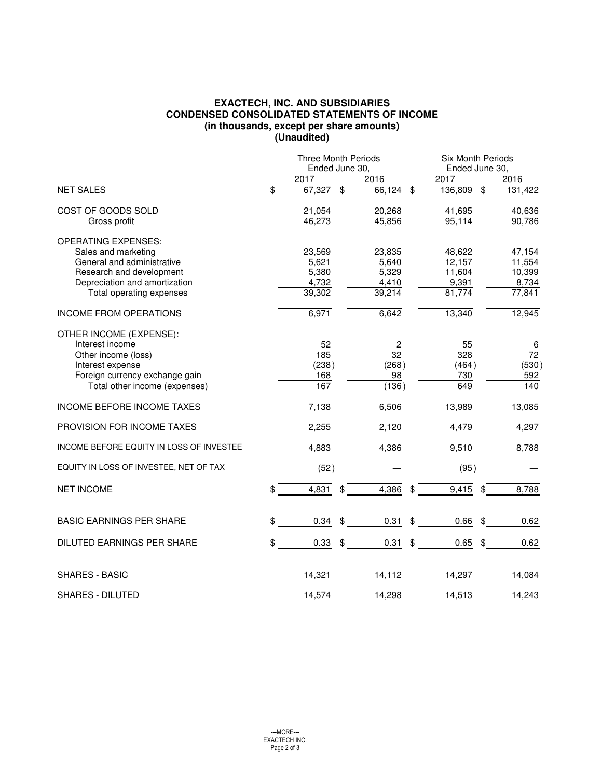## **EXACTECH, INC. AND SUBSIDIARIES CONDENSED CONSOLIDATED STATEMENTS OF INCOME (in thousands, except per share amounts) (Unaudited)**

|                                          | <b>Three Month Periods</b> |    | <b>Six Month Periods</b> |                |         |  |
|------------------------------------------|----------------------------|----|--------------------------|----------------|---------|--|
|                                          | Ended June 30,             |    |                          | Ended June 30, |         |  |
|                                          | 2017                       |    | 2016                     | 2017           | 2016    |  |
| <b>NET SALES</b>                         | \$<br>67,327               | \$ | 66,124<br>\$             | 136,809<br>\$  | 131,422 |  |
| COST OF GOODS SOLD                       | 21,054                     |    | 20,268                   | 41,695         | 40,636  |  |
| Gross profit                             | 46,273                     |    | 45,856                   | 95,114         | 90,786  |  |
| <b>OPERATING EXPENSES:</b>               |                            |    |                          |                |         |  |
| Sales and marketing                      | 23,569                     |    | 23,835                   | 48,622         | 47,154  |  |
| General and administrative               | 5,621                      |    | 5,640                    | 12,157         | 11,554  |  |
| Research and development                 | 5,380                      |    | 5,329                    | 11,604         | 10,399  |  |
| Depreciation and amortization            | 4,732                      |    | 4,410                    | 9,391          | 8,734   |  |
| Total operating expenses                 | 39,302                     |    | 39,214                   | 81,774         | 77,841  |  |
| <b>INCOME FROM OPERATIONS</b>            | 6,971                      |    | 6,642                    | 13,340         | 12,945  |  |
| OTHER INCOME (EXPENSE):                  |                            |    |                          |                |         |  |
| Interest income                          | 52                         |    | $\overline{c}$           | 55             | 6       |  |
| Other income (loss)                      | 185                        |    | 32                       | 328            | 72      |  |
| Interest expense                         | (238)                      |    | (268)                    | (464)          | (530)   |  |
| Foreign currency exchange gain           | 168                        |    | 98                       | 730            | 592     |  |
| Total other income (expenses)            | 167                        |    | (136)                    | 649            | 140     |  |
| INCOME BEFORE INCOME TAXES               | 7,138                      |    | 6,506                    | 13,989         | 13,085  |  |
| PROVISION FOR INCOME TAXES               | 2,255                      |    | 2,120                    | 4,479          | 4,297   |  |
| INCOME BEFORE EQUITY IN LOSS OF INVESTEE | 4,883                      |    | 4,386                    | 9,510          | 8,788   |  |
| EQUITY IN LOSS OF INVESTEE, NET OF TAX   | (52)                       |    |                          | (95)           |         |  |
| <b>NET INCOME</b>                        | \$<br>4,831                | \$ | 4,386<br>\$              | 9,415<br>\$    | 8,788   |  |
| <b>BASIC EARNINGS PER SHARE</b>          | \$<br>0.34                 | \$ | 0.31<br>\$               | 0.66<br>\$     | 0.62    |  |
|                                          |                            |    |                          |                |         |  |
| DILUTED EARNINGS PER SHARE               | \$<br>0.33                 | \$ | \$<br>0.31               | 0.65           | 0.62    |  |
| <b>SHARES - BASIC</b>                    | 14,321                     |    | 14,112                   | 14,297         | 14,084  |  |
|                                          |                            |    |                          |                |         |  |
| <b>SHARES - DILUTED</b>                  | 14,574                     |    | 14,298                   | 14,513         | 14,243  |  |